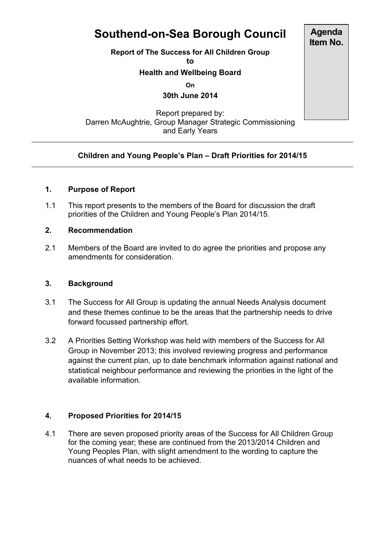# **Southend-on-Sea Borough Council**

**Report of The Success for All Children Group**

**to**

# **Health and Wellbeing Board**

**On**

**30th June 2014**

Report prepared by: Darren McAughtrie, Group Manager Strategic Commissioning and Early Years

# **Children and Young People's Plan – Draft Priorities for 2014/15**

# **1. Purpose of Report**

1.1 This report presents to the members of the Board for discussion the draft priorities of the Children and Young People's Plan 2014/15.

# **2. Recommendation**

2.1 Members of the Board are invited to do agree the priorities and propose any amendments for consideration.

## **3. Background**

- 3.1 The Success for All Group is updating the annual Needs Analysis document and these themes continue to be the areas that the partnership needs to drive forward focussed partnership effort.
- 3.2 A Priorities Setting Workshop was held with members of the Success for All Group in November 2013; this involved reviewing progress and performance against the current plan, up to date benchmark information against national and statistical neighbour performance and reviewing the priorities in the light of the available information.

# **4. Proposed Priorities for 2014/15**

4.1 There are seven proposed priority areas of the Success for All Children Group for the coming year; these are continued from the 2013/2014 Children and Young Peoples Plan, with slight amendment to the wording to capture the nuances of what needs to be achieved.

**Agenda Item No.**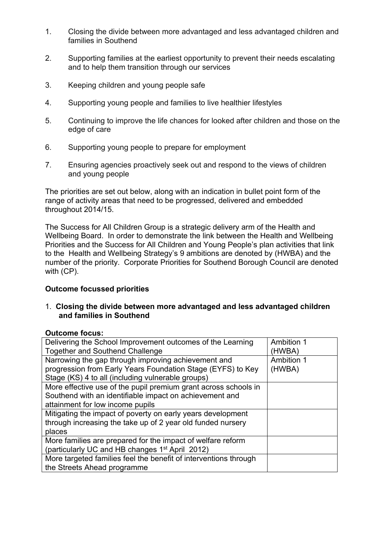- 1. Closing the divide between more advantaged and less advantaged children and families in Southend
- 2. Supporting families at the earliest opportunity to prevent their needs escalating and to help them transition through our services
- 3. Keeping children and young people safe
- 4. Supporting young people and families to live healthier lifestyles
- 5. Continuing to improve the life chances for looked after children and those on the edge of care
- 6. Supporting young people to prepare for employment
- 7. Ensuring agencies proactively seek out and respond to the views of children and young people

The priorities are set out below, along with an indication in bullet point form of the range of activity areas that need to be progressed, delivered and embedded throughout 2014/15.

The Success for All Children Group is a strategic delivery arm of the Health and Wellbeing Board. In order to demonstrate the link between the Health and Wellbeing Priorities and the Success for All Children and Young People's plan activities that link to the Health and Wellbeing Strategy's 9 ambitions are denoted by (HWBA) and the number of the priority. Corporate Priorities for Southend Borough Council are denoted with (CP).

## **Outcome focussed priorities**

1. **Closing the divide between more advantaged and less advantaged children and families in Southend**

## **Outcome focus:**

| Delivering the School Improvement outcomes of the Learning       | Ambition 1        |
|------------------------------------------------------------------|-------------------|
| <b>Together and Southend Challenge</b>                           | (HWBA)            |
| Narrowing the gap through improving achievement and              | <b>Ambition 1</b> |
| progression from Early Years Foundation Stage (EYFS) to Key      | (HWBA)            |
| Stage (KS) 4 to all (including vulnerable groups)                |                   |
| More effective use of the pupil premium grant across schools in  |                   |
| Southend with an identifiable impact on achievement and          |                   |
| attainment for low income pupils                                 |                   |
| Mitigating the impact of poverty on early years development      |                   |
| through increasing the take up of 2 year old funded nursery      |                   |
| places                                                           |                   |
| More families are prepared for the impact of welfare reform      |                   |
| (particularly UC and HB changes 1 <sup>st</sup> April 2012)      |                   |
| More targeted families feel the benefit of interventions through |                   |
| the Streets Ahead programme                                      |                   |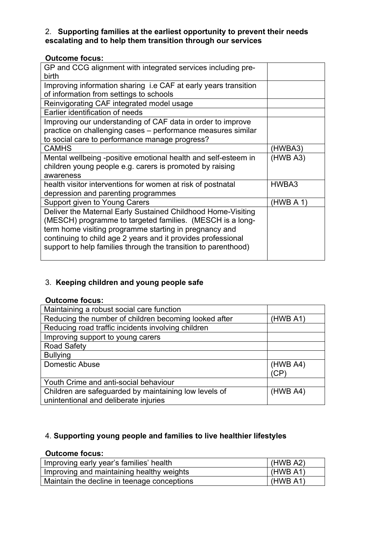# 2. **Supporting families at the earliest opportunity to prevent their needs escalating and to help them transition through our services**

## **Outcome focus:**

| GP and CCG alignment with integrated services including pre-    |           |
|-----------------------------------------------------------------|-----------|
| birth                                                           |           |
| Improving information sharing i.e CAF at early years transition |           |
| of information from settings to schools                         |           |
| Reinvigorating CAF integrated model usage                       |           |
| Earlier identification of needs                                 |           |
| Improving our understanding of CAF data in order to improve     |           |
| practice on challenging cases - performance measures similar    |           |
| to social care to performance manage progress?                  |           |
| <b>CAMHS</b>                                                    | (HWBA3)   |
| Mental wellbeing -positive emotional health and self-esteem in  | (HWB A3)  |
| children young people e.g. carers is promoted by raising        |           |
| awareness                                                       |           |
| health visitor interventions for women at risk of postnatal     | HWBA3     |
| depression and parenting programmes                             |           |
| Support given to Young Carers                                   | (HWB A 1) |
| Deliver the Maternal Early Sustained Childhood Home-Visiting    |           |
| (MESCH) programme to targeted families. (MESCH is a long-       |           |
| term home visiting programme starting in pregnancy and          |           |
| continuing to child age 2 years and it provides professional    |           |
| support to help families through the transition to parenthood)  |           |
|                                                                 |           |

# 3. **Keeping children and young people safe**

# **Outcome focus:**

| Maintaining a robust social care function             |          |
|-------------------------------------------------------|----------|
| Reducing the number of children becoming looked after | (HWB A1) |
| Reducing road traffic incidents involving children    |          |
| Improving support to young carers                     |          |
| <b>Road Safety</b>                                    |          |
| <b>Bullying</b>                                       |          |
| Domestic Abuse                                        | (HWB A4) |
|                                                       | 'CP      |
| Youth Crime and anti-social behaviour                 |          |
| Children are safeguarded by maintaining low levels of | (HWBAA)  |
| unintentional and deliberate injuries                 |          |

# 4. **Supporting young people and families to live healthier lifestyles**

# **Outcome focus:**

| Improving early year's families' health     | (HWB A2) |
|---------------------------------------------|----------|
| Improving and maintaining healthy weights   | (HWB A1) |
| Maintain the decline in teenage conceptions | (HWBA1)  |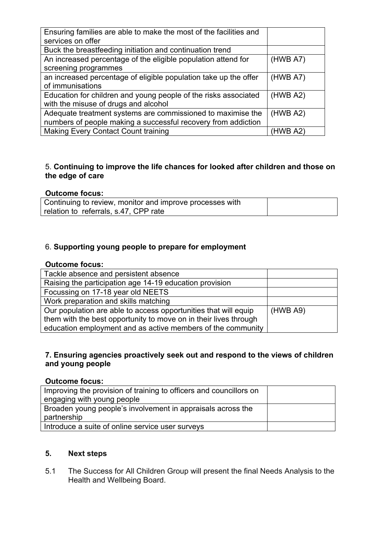| Ensuring families are able to make the most of the facilities and |          |
|-------------------------------------------------------------------|----------|
| services on offer                                                 |          |
| Buck the breastfeeding initiation and continuation trend          |          |
| An increased percentage of the eligible population attend for     | (HWB A7) |
| screening programmes                                              |          |
| an increased percentage of eligible population take up the offer  | (HWB A7) |
| of immunisations                                                  |          |
| Education for children and young people of the risks associated   | (HWB A2) |
| with the misuse of drugs and alcohol                              |          |
| Adequate treatment systems are commissioned to maximise the       | (HWB A2) |
| numbers of people making a successful recovery from addiction     |          |
| <b>Making Every Contact Count training</b>                        | (HWB A2) |

# 5. **Continuing to improve the life chances for looked after children and those on the edge of care**

#### **Outcome focus:**

| Continuing to review, monitor and improve processes with |  |
|----------------------------------------------------------|--|
| relation to referrals, s.47, CPP rate                    |  |

## 6. **Supporting young people to prepare for employment**

#### **Outcome focus:**

| Tackle absence and persistent absence                            |          |
|------------------------------------------------------------------|----------|
| Raising the participation age 14-19 education provision          |          |
| Focussing on 17-18 year old NEETS                                |          |
| Work preparation and skills matching                             |          |
| Our population are able to access opportunities that will equip  | (HWB A9) |
| them with the best opportunity to move on in their lives through |          |
| education employment and as active members of the community      |          |

#### **7. Ensuring agencies proactively seek out and respond to the views of children and young people**

#### **Outcome focus:**

| Improving the provision of training to officers and councillors on |  |
|--------------------------------------------------------------------|--|
| engaging with young people                                         |  |
| Broaden young people's involvement in appraisals across the        |  |
| partnership                                                        |  |
| Introduce a suite of online service user surveys                   |  |

# **5. Next steps**

5.1 The Success for All Children Group will present the final Needs Analysis to the Health and Wellbeing Board.